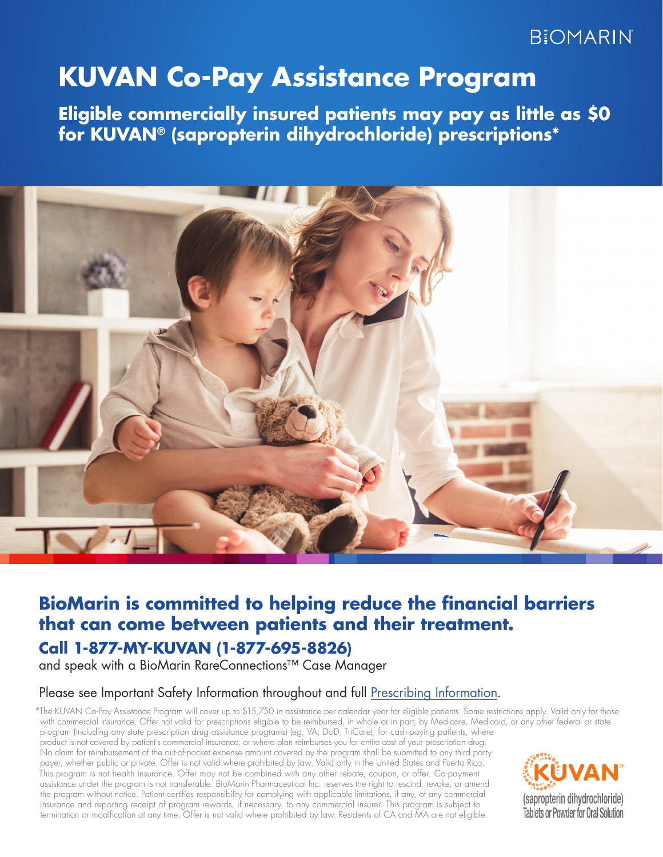# **BIOMARIN**

# **KUVAN Co-Pay Assistance Program**

**Eligible commercially insured patients may pay as little as \$0 for KUVAN® (sapropterin dihydrochloride) prescriptions\***



# **Call 1-877-MY-KUVAN (1-877-695-8826) BioMarin is committed to helping reduce the financial barriers that can come between patients and their treatment.**

and speak with a BioMarin RareConnections™ Case Manager

### Please see Important Safety Information throughout and full [Prescribing Information](http://kuvan.com/wp-content/file/KUVAN_Prescribing_Information1.pdf).

\*The KUVAN Co-Pay Assistance Program will cover up to \$15,750 in assistance per calendar year for eligible patients. Some restrictions apply. Valid only for those with commercial insurance. Offer not valid for prescriptions eligible to be reimbursed, in whole or in part, by Medicare, Medicaid, or any other federal or state program (including any state prescription drug assistance programs) (eg, VA, DoD, TriCare), for cash-paying patients, where product is not covered by patient's commercial insurance, or where plan reimburses you for entire cost of your prescription drug. No claim for reimbursement of the out-of-pocket expense amount covered by the program shall be submitted to any third party payer, whether public or private. Offer is not valid where prohibited by law. Valid only in the United States and Puerto Rico. This program is not health insurance. Offer may not be combined with any other rebate, coupon, or offer. Co-payment assistance under the program is not transferable. BioMarin Pharmaceutical Inc. reserves the right to rescind, revoke, or amend the program without notice. Patient certifies responsibility for complying with applicable limitations, if any, of any commercial insurance and reporting receipt of program rewards, if necessary, to any commercial insurer. This program is subject to termination or modification at any time. Offer is not valid where prohibited by law. Residents of CA and MA are not eligible.

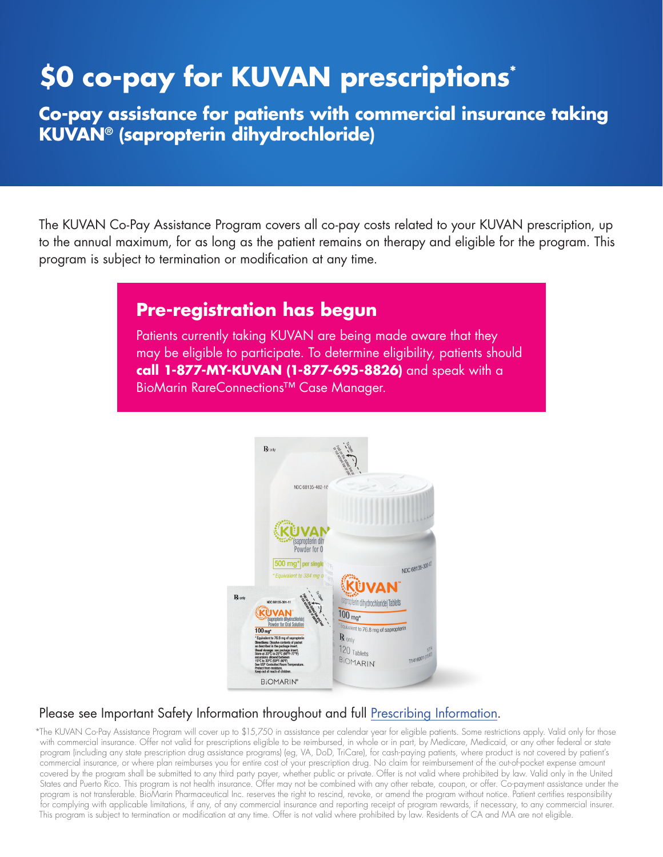# **\$0 co-pay for KUVAN prescriptions\***

**Co-pay assistance for patients with commercial insurance taking KUVAN® (sapropterin dihydrochloride)**

The KUVAN Co-Pay Assistance Program covers all co-pay costs related to your KUVAN prescription, up to the annual maximum, for as long as the patient remains on therapy and eligible for the program. This program is subject to termination or modification at any time.

## **Pre-registration has begun**

Patients currently taking KUVAN are being made aware that they may be eligible to participate. To determine eligibility, patients should **call 1-877-MY-KUVAN (1-877-695-8826)** and speak with a BioMarin RareConnections™ Case Manager.



## Please see Important Safety Information throughout and full [Prescribing Information](http://kuvan.com/wp-content/file/KUVAN_Prescribing_Information1.pdf).

\*The KUVAN Co-Pay Assistance Program will cover up to \$15,750 in assistance per calendar year for eligible patients. Some restrictions apply. Valid only for those with commercial insurance. Offer not valid for prescriptions eligible to be reimbursed, in whole or in part, by Medicare, Medicaid, or any other federal or state program (including any state prescription drug assistance programs) (eg, VA, DoD, TriCare), for cash-paying patients, where product is not covered by patient's commercial insurance, or where plan reimburses you for entire cost of your prescription drug. No claim for reimbursement of the out-of-pocket expense amount covered by the program shall be submitted to any third party payer, whether public or private. Offer is not valid where prohibited by law. Valid only in the United States and Puerto Rico. This program is not health insurance. Offer may not be combined with any other rebate, coupon, or offer. Co-payment assistance under the program is not transferable. BioMarin Pharmaceutical Inc. reserves the right to rescind, revoke, or amend the program without notice. Patient certifies responsibility for complying with applicable limitations, if any, of any commercial insurance and reporting receipt of program rewards, if necessary, to any commercial insurer. This program is subject to termination or modification at any time. Offer is not valid where prohibited by law. Residents of CA and MA are not eligible.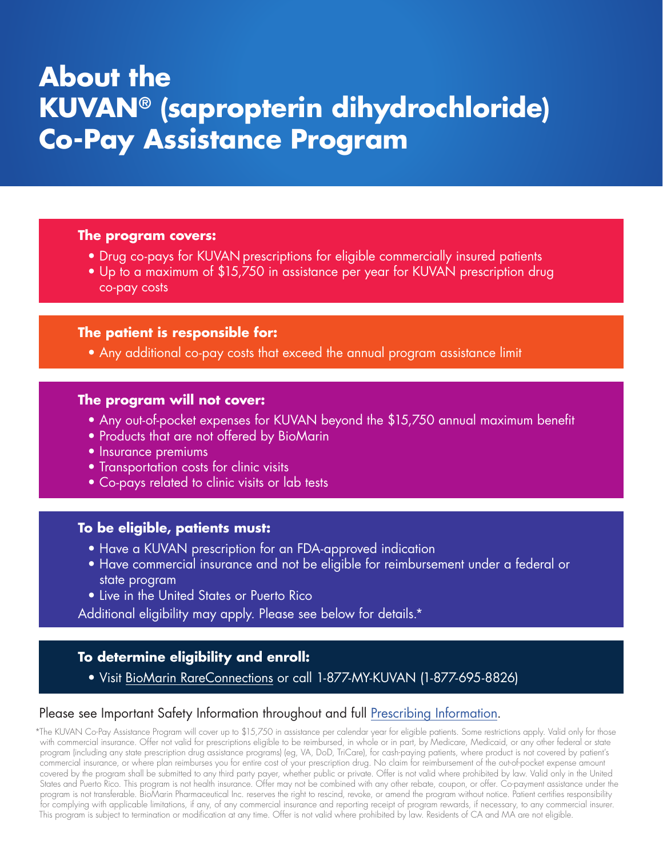# **About the KUVAN® (sapropterin dihydrochloride) Co-Pay Assistance Program**

#### **The program covers:**

- Drug co-pays for KUVAN prescriptions for eligible commercially insured patients
- Up to a maximum of \$15,750 in assistance per year for KUVAN prescription drug co-pay costs

### **The patient is responsible for:**

• Any additional co-pay costs that exceed the annual program assistance limit

#### **The program will not cover:**

- Any out-of-pocket expenses for KUVAN beyond the \$15,750 annual maximum benefit
- Products that are not offered by BioMarin
- **Insurance premiums**
- Transportation costs for clinic visits
- Co-pays related to clinic visits or lab tests

#### **To be eligible, patients must:**

- Have a KUVAN prescription for an FDA-approved indication
- Have commercial insurance and not be eligible for reimbursement under a federal or state program
- Live in the United States or Puerto Rico

Additional eligibility may apply. Please see below for details.\*

## **To determine eligibility and enroll:**

• Visit B[ioMarin RareConnections](https://www.biomarin-rareconnections.com/kuvan/co-pay-assistance/) or call 1-877-MY-KUVAN (1-877-695-8826)

### Please see Important Safety Information throughout and full [Prescribing Information](http://kuvan.com/wp-content/file/KUVAN_Prescribing_Information1.pdf).

\*The KUVAN Co-Pay Assistance Program will cover up to \$15,750 in assistance per calendar year for eligible patients. Some restrictions apply. Valid only for those with commercial insurance. Offer not valid for prescriptions eligible to be reimbursed, in whole or in part, by Medicare, Medicaid, or any other federal or state program (including any state prescription drug assistance programs) (eg, VA, DoD, TriCare), for cash-paying patients, where product is not covered by patient's commercial insurance, or where plan reimburses you for entire cost of your prescription drug. No claim for reimbursement of the out-of-pocket expense amount covered by the program shall be submitted to any third party payer, whether public or private. Offer is not valid where prohibited by law. Valid only in the United States and Puerto Rico. This program is not health insurance. Offer may not be combined with any other rebate, coupon, or offer. Co-payment assistance under the program is not transferable. BioMarin Pharmaceutical Inc. reserves the right to rescind, revoke, or amend the program without notice. Patient certifies responsibility for complying with applicable limitations, if any, of any commercial insurance and reporting receipt of program rewards, if necessary, to any commercial insurer. This program is subject to termination or modification at any time. Offer is not valid where prohibited by law. Residents of CA and MA are not eligible.